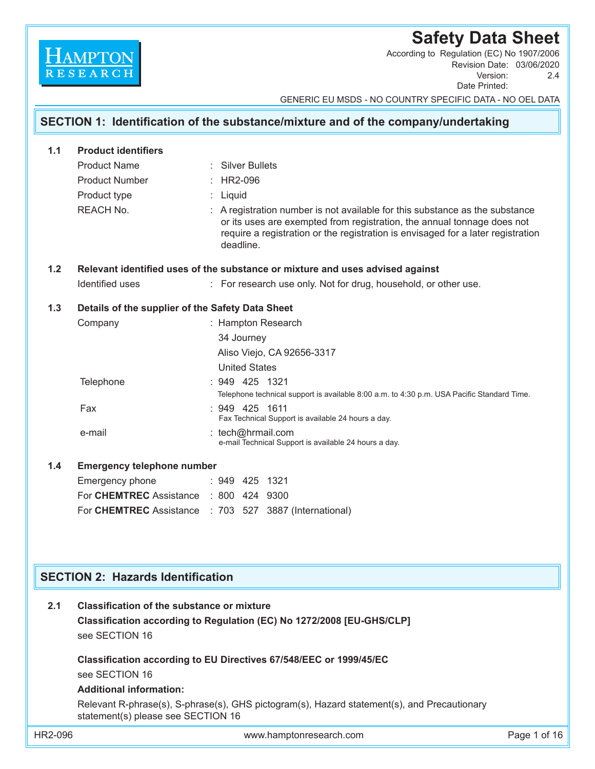# **Safety Data Sheet**

Revision Date: 03/06/2020 Version: 2.4 Date Printed: According to Regulation (EC) No 1907/2006

GENERIC EU MSDS - NO COUNTRY SPECIFIC DATA - NO OEL DATA

# **SECTION 1: Identification of the substance/mixture and of the company/undertaking 1.1 Product identifiers** Product Name : Silver Bullets Product Number : HR2-096 Product type : Liquid REACH No. **Example 2 :** A registration number is not available for this substance as the substance or its uses are exempted from registration, the annual tonnage does not require a registration or the registration is envisaged for a later registration deadline. **1.2 Relevant identified uses of the substance or mixture and uses advised against** Identified uses : For research use only. Not for drug, household, or other use. **1.3 Details of the supplier of the Safety Data Sheet** Company : Hampton Research 34 Journey Aliso Viejo, CA 92656-3317 United States Telephone : 949 425 1321 Telephone technical support is available 8:00 a.m. to 4:30 p.m. USA Pacific Standard Time. Fax : 949 425 1611 Fax Technical Support is available 24 hours a day. e-mail : tech@hrmail.com e-mail Technical Support is available 24 hours a day. **1.4 Emergency telephone number** Emergency phone : 949 425 1321 For **CHEMTREC** Assistance : 800 424 9300 For **CHEMTREC** Assistance : 703 527 3887 (International) **SECTION 2: Hazards Identification 2.1 Classification of the substance or mixture**

 **Classification according to Regulation (EC) No 1272/2008 [EU-GHS/CLP]** see SECTION 16

 **Classification according to EU Directives 67/548/EEC or 1999/45/EC** see SECTION 16

## **Additional information:**

 Relevant R-phrase(s), S-phrase(s), GHS pictogram(s), Hazard statement(s), and Precautionary statement(s) please see SECTION 16

**HAMPTON**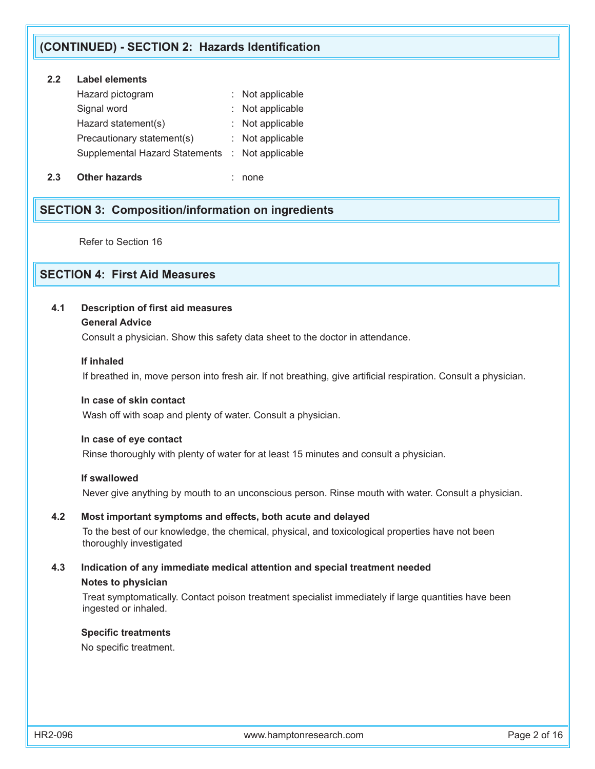## **(CONTINUED) - SECTION 2: Hazards Identification**

## **2.2 Label elements**

| Hazard pictogram                                | : Not applicable |
|-------------------------------------------------|------------------|
| Signal word                                     | : Not applicable |
| Hazard statement(s)                             | : Not applicable |
| Precautionary statement(s)                      | : Not applicable |
| Supplemental Hazard Statements : Not applicable |                  |
|                                                 |                  |

**2.3 Other hazards** : none

# **SECTION 3: Composition/information on ingredients**

Refer to Section 16

# **SECTION 4: First Aid Measures**

## **4.1 Description of first aid measures**

### **General Advice**

Consult a physician. Show this safety data sheet to the doctor in attendance.

### **If inhaled**

If breathed in, move person into fresh air. If not breathing, give artificial respiration. Consult a physician.

### **In case of skin contact**

Wash off with soap and plenty of water. Consult a physician.

#### **In case of eye contact**

Rinse thoroughly with plenty of water for at least 15 minutes and consult a physician.

### **If swallowed**

Never give anything by mouth to an unconscious person. Rinse mouth with water. Consult a physician.

## **4.2 Most important symptoms and effects, both acute and delayed**

To the best of our knowledge, the chemical, physical, and toxicological properties have not been thoroughly investigated

## **4.3 Indication of any immediate medical attention and special treatment needed Notes to physician**

 Treat symptomatically. Contact poison treatment specialist immediately if large quantities have been ingested or inhaled.

#### **Specific treatments**

No specific treatment.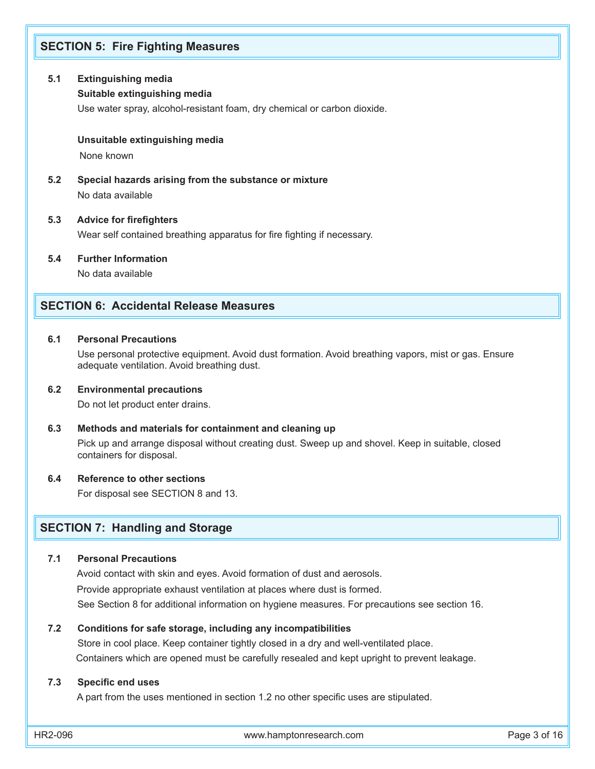## **SECTION 5: Fire Fighting Measures**

### **5.1 Extinguishing media**

### **Suitable extinguishing media**

Use water spray, alcohol-resistant foam, dry chemical or carbon dioxide.

#### **Unsuitable extinguishing media**

None known

**5.2 Special hazards arising from the substance or mixture** No data available

#### **5.3 Advice for firefighters**

Wear self contained breathing apparatus for fire fighting if necessary.

**5.4 Further Information**

No data available

## **SECTION 6: Accidental Release Measures**

### **6.1 Personal Precautions**

Use personal protective equipment. Avoid dust formation. Avoid breathing vapors, mist or gas. Ensure adequate ventilation. Avoid breathing dust.

#### **6.2 Environmental precautions**

Do not let product enter drains.

#### **6.3 Methods and materials for containment and cleaning up**

 Pick up and arrange disposal without creating dust. Sweep up and shovel. Keep in suitable, closed containers for disposal.

#### **6.4 Reference to other sections**

For disposal see SECTION 8 and 13.

## **SECTION 7: Handling and Storage**

#### **7.1 Personal Precautions**

 Avoid contact with skin and eyes. Avoid formation of dust and aerosols. Provide appropriate exhaust ventilation at places where dust is formed. See Section 8 for additional information on hygiene measures. For precautions see section 16.

#### **7.2 Conditions for safe storage, including any incompatibilities**

 Store in cool place. Keep container tightly closed in a dry and well-ventilated place. Containers which are opened must be carefully resealed and kept upright to prevent leakage.

#### **7.3 Specific end uses**

A part from the uses mentioned in section 1.2 no other specific uses are stipulated.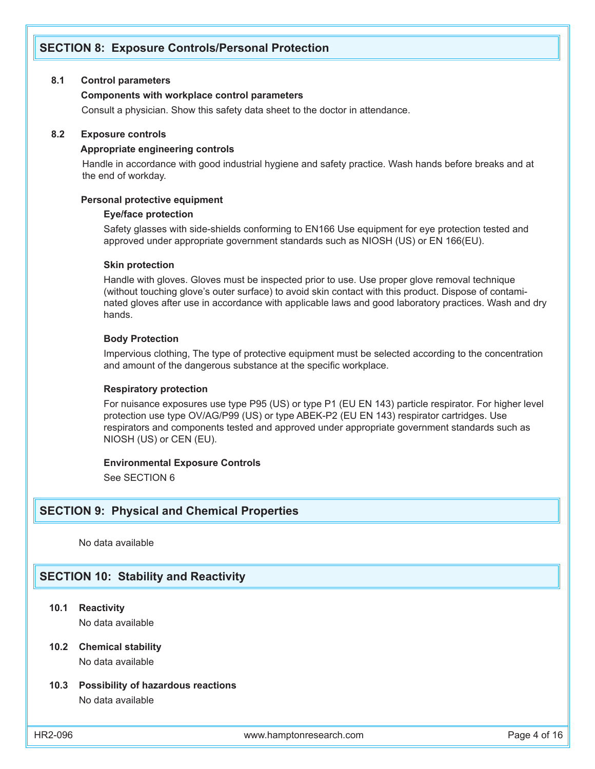# **SECTION 8: Exposure Controls/Personal Protection**

#### **8.1 Control parameters**

#### **Components with workplace control parameters**

Consult a physician. Show this safety data sheet to the doctor in attendance.

#### **8.2 Exposure controls**

#### **Appropriate engineering controls**

 Handle in accordance with good industrial hygiene and safety practice. Wash hands before breaks and at the end of workday.

#### **Personal protective equipment**

#### **Eye/face protection**

Safety glasses with side-shields conforming to EN166 Use equipment for eye protection tested and approved under appropriate government standards such as NIOSH (US) or EN 166(EU).

#### **Skin protection**

Handle with gloves. Gloves must be inspected prior to use. Use proper glove removal technique (without touching glove's outer surface) to avoid skin contact with this product. Dispose of contaminated gloves after use in accordance with applicable laws and good laboratory practices. Wash and dry hands.

### **Body Protection**

Impervious clothing, The type of protective equipment must be selected according to the concentration and amount of the dangerous substance at the specific workplace.

#### **Respiratory protection**

For nuisance exposures use type P95 (US) or type P1 (EU EN 143) particle respirator. For higher level protection use type OV/AG/P99 (US) or type ABEK-P2 (EU EN 143) respirator cartridges. Use respirators and components tested and approved under appropriate government standards such as NIOSH (US) or CEN (EU).

#### **Environmental Exposure Controls**

See SECTION 6

### **SECTION 9: Physical and Chemical Properties**

No data available

## **SECTION 10: Stability and Reactivity**

**10.1 Reactivity**

No data available

### **10.2 Chemical stability** No data available

### **10.3 Possibility of hazardous reactions** No data available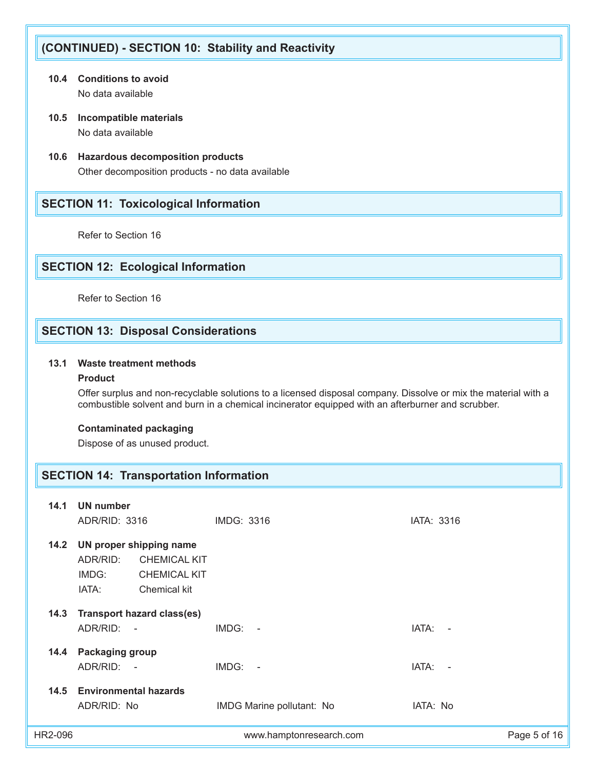# **(CONTINUED) - SECTION 10: Stability and Reactivity**

- **10.4 Conditions to avoid** No data available
- **10.5 Incompatible materials** No data available
- **10.6 Hazardous decomposition products** Other decomposition products - no data available

# **SECTION 11: Toxicological Information**

Refer to Section 16

# **SECTION 12: Ecological Information**

Refer to Section 16

# **SECTION 13: Disposal Considerations**

## **13.1 Waste treatment methods**

#### **Product**

 Offer surplus and non-recyclable solutions to a licensed disposal company. Dissolve or mix the material with a combustible solvent and burn in a chemical incinerator equipped with an afterburner and scrubber.

#### **Contaminated packaging**

Dispose of as unused product.

## **SECTION 14: Transportation Information**

| 14.1    | UN number                                                             |                                            |                           |            |              |
|---------|-----------------------------------------------------------------------|--------------------------------------------|---------------------------|------------|--------------|
|         | ADR/RID: 3316                                                         | IMDG: 3316                                 |                           | IATA: 3316 |              |
| 14.2    | UN proper shipping name<br>ADR/RID:<br>IMDG:<br>Chemical kit<br>IATA: | <b>CHEMICAL KIT</b><br><b>CHEMICAL KIT</b> |                           |            |              |
| 14.3    | <b>Transport hazard class(es)</b><br>ADR/RID:<br>$\sim$ $-$           | IMDG:                                      | $\sim$                    | IATA:      | $\sim$       |
|         | 14.4 Packaging group<br>ADR/RID:<br>$\sim$                            | IMDG:                                      | $\sim$                    | IATA:      | $\sim$       |
| 14.5    | <b>Environmental hazards</b><br>ADR/RID: No                           |                                            | IMDG Marine pollutant: No | IATA: No   |              |
| HR2-096 |                                                                       |                                            | www.hamptonresearch.com   |            | Page 5 of 16 |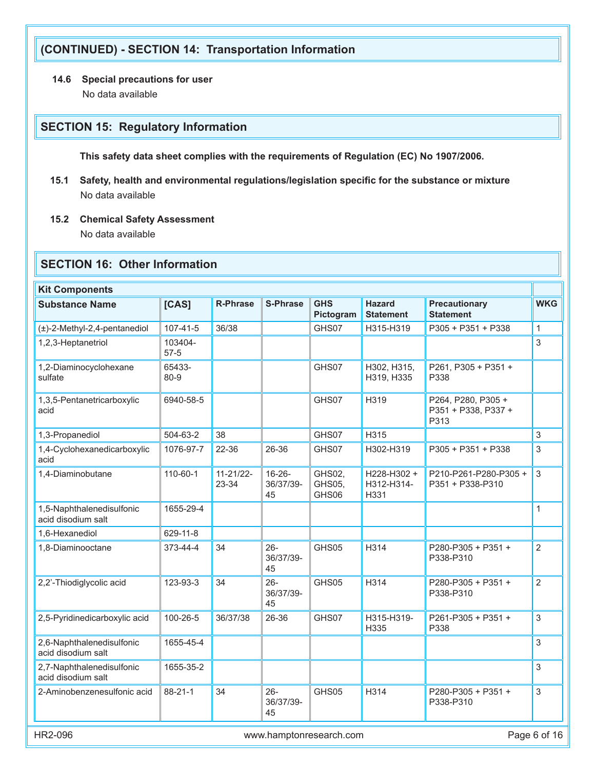# **(CONTINUED) - SECTION 14: Transportation Information**

# **14.6 Special precautions for user**

No data available

# **SECTION 15: Regulatory Information**

 **This safety data sheet complies with the requirements of Regulation (EC) No 1907/2006.**

- **15.1 Safety, health and environmental regulations/legislation specific for the substance or mixture** No data available
- **15.2 Chemical Safety Assessment**

No data available

# **SECTION 16: Other Information**

| <b>Kit Components</b>                           |                     |                         |                                |                           |                                   |                                                  |                |
|-------------------------------------------------|---------------------|-------------------------|--------------------------------|---------------------------|-----------------------------------|--------------------------------------------------|----------------|
| <b>Substance Name</b>                           | [CAS]               | <b>R-Phrase</b>         | <b>S-Phrase</b>                | <b>GHS</b><br>Pictogram   | <b>Hazard</b><br><b>Statement</b> | <b>Precautionary</b><br><b>Statement</b>         | <b>WKG</b>     |
| $(\pm)$ -2-Methyl-2,4-pentanediol               | 107-41-5            | 36/38                   |                                | GHS07                     | H315-H319                         | P305 + P351 + P338                               | 1              |
| 1,2,3-Heptanetriol                              | 103404-<br>$57 - 5$ |                         |                                |                           |                                   |                                                  | 3              |
| 1,2-Diaminocyclohexane<br>sulfate               | 65433-<br>80-9      |                         |                                | GHS07                     | H302, H315,<br>H319, H335         | P261, P305 + P351 +<br>P338                      |                |
| 1,3,5-Pentanetricarboxylic<br>acid              | 6940-58-5           |                         |                                | GHS07                     | H319                              | P264, P280, P305+<br>P351 + P338, P337 +<br>P313 |                |
| 1,3-Propanediol                                 | 504-63-2            | 38                      |                                | GHS07                     | H315                              |                                                  | 3              |
| 1,4-Cyclohexanedicarboxylic<br>acid             | 1076-97-7           | 22-36                   | 26-36                          | GHS07                     | H302-H319                         | P305 + P351 + P338                               | 3              |
| 1,4-Diaminobutane                               | 110-60-1            | $11 - 21/22 -$<br>23-34 | $16 - 26 -$<br>36/37/39-<br>45 | GHS02,<br>GHS05,<br>GHS06 | H228-H302 +<br>H312-H314-<br>H331 | P210-P261-P280-P305+<br>P351 + P338-P310         | 3              |
| 1,5-Naphthalenedisulfonic<br>acid disodium salt | 1655-29-4           |                         |                                |                           |                                   |                                                  | 1              |
| 1,6-Hexanediol                                  | 629-11-8            |                         |                                |                           |                                   |                                                  |                |
| 1,8-Diaminooctane                               | 373-44-4            | 34                      | $26 -$<br>36/37/39-<br>45      | GHS05                     | H314                              | P280-P305 + P351 +<br>P338-P310                  | $\overline{2}$ |
| 2,2'-Thiodiglycolic acid                        | 123-93-3            | 34                      | $26 -$<br>36/37/39-<br>45      | GHS05                     | H314                              | P280-P305 + P351 +<br>P338-P310                  | $\overline{2}$ |
| 2,5-Pyridinedicarboxylic acid                   | 100-26-5            | 36/37/38                | 26-36                          | GHS07                     | H315-H319-<br>H335                | $P261-P305+P351+$<br>P338                        | 3              |
| 2,6-Naphthalenedisulfonic<br>acid disodium salt | 1655-45-4           |                         |                                |                           |                                   |                                                  | 3              |
| 2,7-Naphthalenedisulfonic<br>acid disodium salt | 1655-35-2           |                         |                                |                           |                                   |                                                  | 3              |
| 2-Aminobenzenesulfonic acid                     | 88-21-1             | 34                      | $26 -$<br>36/37/39-<br>45      | GHS05                     | H314                              | P280-P305 + P351 +<br>P338-P310                  | 3              |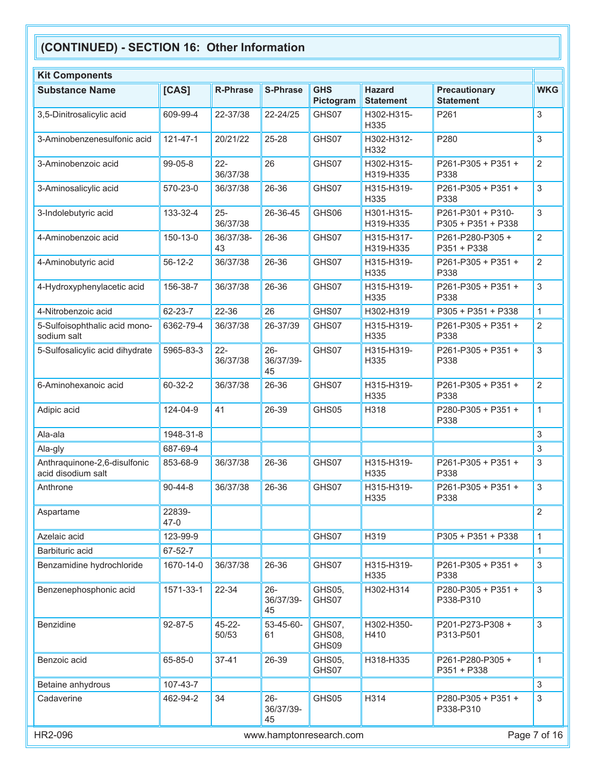| <b>Kit Components</b>                              |                    |                      |                           |                           |                                   |                                          |                |
|----------------------------------------------------|--------------------|----------------------|---------------------------|---------------------------|-----------------------------------|------------------------------------------|----------------|
| <b>Substance Name</b>                              | [CAS]              | <b>R-Phrase</b>      | <b>S-Phrase</b>           | <b>GHS</b><br>Pictogram   | <b>Hazard</b><br><b>Statement</b> | <b>Precautionary</b><br><b>Statement</b> | <b>WKG</b>     |
| 3,5-Dinitrosalicylic acid                          | 609-99-4           | 22-37/38             | 22-24/25                  | GHS07                     | H302-H315-<br>H335                | P261                                     | 3              |
| 3-Aminobenzenesulfonic acid                        | $121 - 47 - 1$     | 20/21/22             | 25-28                     | GHS07                     | H302-H312-<br>H332                | P280                                     | 3              |
| 3-Aminobenzoic acid                                | 99-05-8            | $22 -$<br>36/37/38   | 26                        | GHS07                     | H302-H315-<br>H319-H335           | P261-P305 + P351 +<br>P338               | $\overline{2}$ |
| 3-Aminosalicylic acid                              | 570-23-0           | 36/37/38             | 26-36                     | GHS07                     | H315-H319-<br>H335                | P261-P305 + P351 +<br>P338               | $\mathfrak{S}$ |
| 3-Indolebutyric acid                               | 133-32-4           | $25 -$<br>36/37/38   | 26-36-45                  | GHS06                     | H301-H315-<br>H319-H335           | P261-P301 + P310-<br>P305 + P351 + P338  | $\mathfrak{S}$ |
| 4-Aminobenzoic acid                                | 150-13-0           | 36/37/38-<br>43      | 26-36                     | GHS07                     | H315-H317-<br>H319-H335           | P261-P280-P305+<br>P351 + P338           | $\overline{2}$ |
| 4-Aminobutyric acid                                | 56-12-2            | 36/37/38             | 26-36                     | GHS07                     | H315-H319-<br>H335                | P261-P305 + P351 +<br>P338               | $\overline{2}$ |
| 4-Hydroxyphenylacetic acid                         | 156-38-7           | 36/37/38             | 26-36                     | GHS07                     | H315-H319-<br>H335                | P261-P305 + P351 +<br>P338               | 3              |
| 4-Nitrobenzoic acid                                | 62-23-7            | 22-36                | 26                        | GHS07                     | H302-H319                         | P305 + P351 + P338                       | $\mathbf{1}$   |
| 5-Sulfoisophthalic acid mono-<br>sodium salt       | 6362-79-4          | 36/37/38             | 26-37/39                  | GHS07                     | H315-H319-<br>H335                | P261-P305 + P351 +<br>P338               | $\overline{2}$ |
| 5-Sulfosalicylic acid dihydrate                    | 5965-83-3          | $22 -$<br>36/37/38   | $26 -$<br>36/37/39-<br>45 | GHS07                     | H315-H319-<br>H335                | P261-P305 + P351 +<br>P338               | 3              |
| 6-Aminohexanoic acid                               | 60-32-2            | 36/37/38             | 26-36                     | GHS07                     | H315-H319-<br>H335                | P261-P305 + P351 +<br>P338               | $\overline{2}$ |
| Adipic acid                                        | 124-04-9           | 41                   | 26-39                     | GHS05                     | H318                              | P280-P305 + P351 +<br>P338               | $\mathbf{1}$   |
| Ala-ala                                            | 1948-31-8          |                      |                           |                           |                                   |                                          | 3              |
| Ala-gly                                            | 687-69-4           |                      |                           |                           |                                   |                                          | 3              |
| Anthraquinone-2,6-disulfonic<br>acid disodium salt | 853-68-9           | 36/37/38             | 26-36                     | GHS07                     | H315-H319-<br>H335                | P261-P305 + P351 +<br>P338               | 3              |
| Anthrone                                           | $90 - 44 - 8$      | 36/37/38             | 26-36                     | GHS07                     | H315-H319-<br>H335                | P261-P305 + P351 +<br>P338               | 3              |
| Aspartame                                          | 22839-<br>$47 - 0$ |                      |                           |                           |                                   |                                          | $\overline{2}$ |
| Azelaic acid                                       | 123-99-9           |                      |                           | GHS07                     | H319                              | P305 + P351 + P338                       | 1              |
| Barbituric acid                                    | 67-52-7            |                      |                           |                           |                                   |                                          | $\mathbf{1}$   |
| Benzamidine hydrochloride                          | 1670-14-0          | 36/37/38             | 26-36                     | GHS07                     | H315-H319-<br>H335                | P261-P305 + P351 +<br>P338               | $\mathfrak{S}$ |
| Benzenephosphonic acid                             | 1571-33-1          | 22-34                | $26 -$<br>36/37/39-<br>45 | GHS05,<br>GHS07           | H302-H314                         | P280-P305 + P351 +<br>P338-P310          | $\mathfrak{S}$ |
| <b>Benzidine</b>                                   | 92-87-5            | $45 - 22 -$<br>50/53 | 53-45-60-<br>61           | GHS07,<br>GHS08,<br>GHS09 | H302-H350-<br>H410                | P201-P273-P308 +<br>P313-P501            | $\mathfrak{S}$ |
| Benzoic acid                                       | 65-85-0            | $37 - 41$            | 26-39                     | GHS05,<br>GHS07           | H318-H335                         | P261-P280-P305+<br>P351 + P338           | 1              |
| Betaine anhydrous                                  | 107-43-7           |                      |                           |                           |                                   |                                          | $\mathfrak{S}$ |
| Cadaverine                                         | 462-94-2           | 34                   | $26 -$<br>36/37/39-<br>45 | GHS05                     | H314                              | P280-P305 + P351 +<br>P338-P310          | $\mathfrak{S}$ |
| HR2-096                                            |                    |                      |                           | www.hamptonresearch.com   |                                   |                                          | Page 7 of 16   |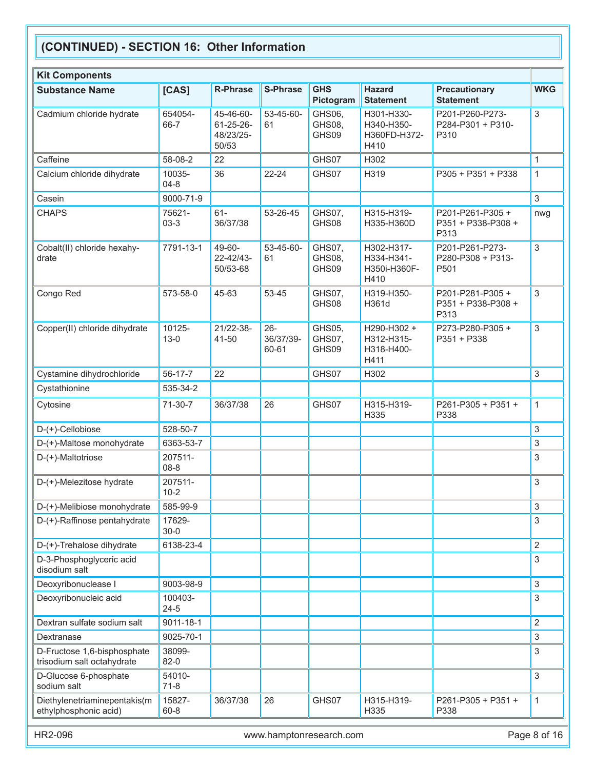| <b>Kit Components</b>                                     |                     |                                                   |                              |                           |                                                  |                                               |                |
|-----------------------------------------------------------|---------------------|---------------------------------------------------|------------------------------|---------------------------|--------------------------------------------------|-----------------------------------------------|----------------|
| <b>Substance Name</b>                                     | [CAS]               | <b>R-Phrase</b>                                   | <b>S-Phrase</b>              | <b>GHS</b><br>Pictogram   | <b>Hazard</b><br><b>Statement</b>                | <b>Precautionary</b><br><b>Statement</b>      | <b>WKG</b>     |
| Cadmium chloride hydrate                                  | 654054-<br>66-7     | 45-46-60-<br>$61 - 25 - 26$<br>48/23/25-<br>50/53 | 53-45-60-<br>61              | GHS06,<br>GHS08,<br>GHS09 | H301-H330-<br>H340-H350-<br>H360FD-H372-<br>H410 | P201-P260-P273-<br>P284-P301 + P310-<br>P310  | 3              |
| Caffeine                                                  | 58-08-2             | 22                                                |                              | GHS07                     | H302                                             |                                               | $\mathbf{1}$   |
| Calcium chloride dihydrate                                | 10035-<br>$04 - 8$  | 36                                                | 22-24                        | GHS07                     | H319                                             | P305 + P351 + P338                            | $\mathbf{1}$   |
| Casein                                                    | 9000-71-9           |                                                   |                              |                           |                                                  |                                               | $\mathfrak{Z}$ |
| <b>CHAPS</b>                                              | 75621-<br>$03-3$    | $61-$<br>36/37/38                                 | 53-26-45                     | GHS07,<br>GHS08           | H315-H319-<br>H335-H360D                         | P201-P261-P305+<br>P351 + P338-P308 +<br>P313 | nwg            |
| Cobalt(II) chloride hexahy-<br>drate                      | 7791-13-1           | 49-60-<br>22-42/43-<br>50/53-68                   | 53-45-60-<br>61              | GHS07,<br>GHS08,<br>GHS09 | H302-H317-<br>H334-H341-<br>H350i-H360F-<br>H410 | P201-P261-P273-<br>P280-P308 + P313-<br>P501  | $\mathfrak{S}$ |
| Congo Red                                                 | 573-58-0            | 45-63                                             | 53-45                        | GHS07,<br>GHS08           | H319-H350-<br>H361d                              | P201-P281-P305+<br>P351 + P338-P308 +<br>P313 | $\mathfrak{Z}$ |
| Copper(II) chloride dihydrate                             | 10125-<br>$13 - 0$  | 21/22-38-<br>41-50                                | $26 -$<br>36/37/39-<br>60-61 | GHS05,<br>GHS07,<br>GHS09 | H290-H302 +<br>H312-H315-<br>H318-H400-<br>H411  | P273-P280-P305+<br>P351 + P338                | $\mathfrak{Z}$ |
| Cystamine dihydrochloride                                 | 56-17-7             | 22                                                |                              | GHS07                     | H302                                             |                                               | $\mathfrak{Z}$ |
| Cystathionine                                             | 535-34-2            |                                                   |                              |                           |                                                  |                                               |                |
| Cytosine                                                  | 71-30-7             | 36/37/38                                          | 26                           | GHS07                     | H315-H319-<br>H335                               | P261-P305 + P351 +<br>P338                    | $\mathbf{1}$   |
| D-(+)-Cellobiose                                          | 528-50-7            |                                                   |                              |                           |                                                  |                                               | 3              |
| D-(+)-Maltose monohydrate                                 | 6363-53-7           |                                                   |                              |                           |                                                  |                                               | 3              |
| D-(+)-Maltotriose                                         | 207511-<br>$08 - 8$ |                                                   |                              |                           |                                                  |                                               | 3              |
| D-(+)-Melezitose hydrate                                  | 207511-<br>$10-2$   |                                                   |                              |                           |                                                  |                                               | 3              |
| D-(+)-Melibiose monohydrate                               | 585-99-9            |                                                   |                              |                           |                                                  |                                               | 3              |
| D-(+)-Raffinose pentahydrate                              | 17629-<br>$30 - 0$  |                                                   |                              |                           |                                                  |                                               | 3              |
| D-(+)-Trehalose dihydrate                                 | 6138-23-4           |                                                   |                              |                           |                                                  |                                               | $\overline{2}$ |
| D-3-Phosphoglyceric acid<br>disodium salt                 |                     |                                                   |                              |                           |                                                  |                                               | 3              |
| Deoxyribonuclease I                                       | 9003-98-9           |                                                   |                              |                           |                                                  |                                               | 3              |
| Deoxyribonucleic acid                                     | 100403-<br>$24 - 5$ |                                                   |                              |                           |                                                  |                                               | 3              |
| Dextran sulfate sodium salt                               | 9011-18-1           |                                                   |                              |                           |                                                  |                                               | $\overline{2}$ |
| Dextranase                                                | 9025-70-1           |                                                   |                              |                           |                                                  |                                               | $\mathfrak{Z}$ |
| D-Fructose 1,6-bisphosphate<br>trisodium salt octahydrate | 38099-<br>$82-0$    |                                                   |                              |                           |                                                  |                                               | 3              |
| D-Glucose 6-phosphate<br>sodium salt                      | 54010-<br>$71-8$    |                                                   |                              |                           |                                                  |                                               | 3              |
| Diethylenetriaminepentakis(m<br>ethylphosphonic acid)     | 15827-<br>$60 - 8$  | 36/37/38                                          | 26                           | GHS07                     | H315-H319-<br>H335                               | P261-P305 + P351 +<br>P338                    | 1              |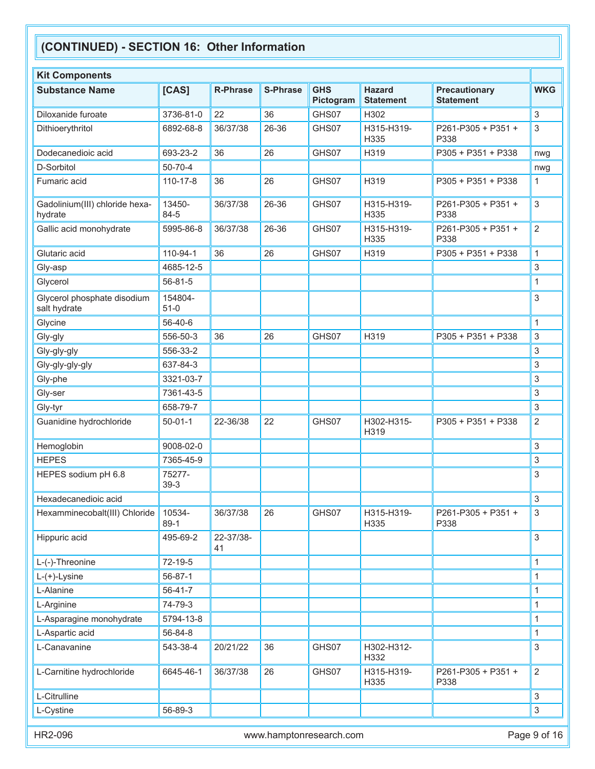| <b>GHS</b><br><b>Hazard</b><br><b>Substance Name</b><br>[CAS]<br><b>R-Phrase</b><br><b>S-Phrase</b><br><b>Precautionary</b><br><b>WKG</b><br>Pictogram<br><b>Statement</b><br><b>Statement</b><br>$\ensuremath{\mathsf{3}}$<br>Diloxanide furoate<br>3736-81-0<br>22<br>36<br>GHS07<br>H302<br>3<br>Dithioerythritol<br>36/37/38<br>26-36<br>H315-H319-<br>P261-P305 + P351 +<br>6892-68-8<br>GHS07<br>H335<br>P338<br>26<br>Dodecanedioic acid<br>693-23-2<br>36<br>GHS07<br>H319<br>P305 + P351 + P338<br>nwg<br>50-70-4<br>D-Sorbitol<br>nwg<br>26<br>Fumaric acid<br>$110 - 17 - 8$<br>36<br>GHS07<br>H319<br>P305 + P351 + P338<br>1<br>$\mathbf{3}$<br>13450-<br>36/37/38<br>26-36<br>Gadolinium(III) chloride hexa-<br>GHS07<br>H315-H319-<br>P261-P305 + P351 +<br>84-5<br>hydrate<br>H335<br>P338<br>$\overline{2}$<br>Gallic acid monohydrate<br>5995-86-8<br>26-36<br>GHS07<br>H315-H319-<br>36/37/38<br>P261-P305 + P351 +<br>H335<br>P338<br>Glutaric acid<br>26<br>$\mathbf{1}$<br>110-94-1<br>36<br>GHS07<br>H319<br>P305 + P351 + P338<br>$\sqrt{3}$<br>Gly-asp<br>4685-12-5 |
|----------------------------------------------------------------------------------------------------------------------------------------------------------------------------------------------------------------------------------------------------------------------------------------------------------------------------------------------------------------------------------------------------------------------------------------------------------------------------------------------------------------------------------------------------------------------------------------------------------------------------------------------------------------------------------------------------------------------------------------------------------------------------------------------------------------------------------------------------------------------------------------------------------------------------------------------------------------------------------------------------------------------------------------------------------------------------------------------|
|                                                                                                                                                                                                                                                                                                                                                                                                                                                                                                                                                                                                                                                                                                                                                                                                                                                                                                                                                                                                                                                                                              |
|                                                                                                                                                                                                                                                                                                                                                                                                                                                                                                                                                                                                                                                                                                                                                                                                                                                                                                                                                                                                                                                                                              |
|                                                                                                                                                                                                                                                                                                                                                                                                                                                                                                                                                                                                                                                                                                                                                                                                                                                                                                                                                                                                                                                                                              |
|                                                                                                                                                                                                                                                                                                                                                                                                                                                                                                                                                                                                                                                                                                                                                                                                                                                                                                                                                                                                                                                                                              |
|                                                                                                                                                                                                                                                                                                                                                                                                                                                                                                                                                                                                                                                                                                                                                                                                                                                                                                                                                                                                                                                                                              |
|                                                                                                                                                                                                                                                                                                                                                                                                                                                                                                                                                                                                                                                                                                                                                                                                                                                                                                                                                                                                                                                                                              |
|                                                                                                                                                                                                                                                                                                                                                                                                                                                                                                                                                                                                                                                                                                                                                                                                                                                                                                                                                                                                                                                                                              |
|                                                                                                                                                                                                                                                                                                                                                                                                                                                                                                                                                                                                                                                                                                                                                                                                                                                                                                                                                                                                                                                                                              |
|                                                                                                                                                                                                                                                                                                                                                                                                                                                                                                                                                                                                                                                                                                                                                                                                                                                                                                                                                                                                                                                                                              |
|                                                                                                                                                                                                                                                                                                                                                                                                                                                                                                                                                                                                                                                                                                                                                                                                                                                                                                                                                                                                                                                                                              |
| Glycerol<br>56-81-5<br>$\mathbf{1}$                                                                                                                                                                                                                                                                                                                                                                                                                                                                                                                                                                                                                                                                                                                                                                                                                                                                                                                                                                                                                                                          |
| Glycerol phosphate disodium<br>154804-<br>3<br>salt hydrate<br>$51-0$                                                                                                                                                                                                                                                                                                                                                                                                                                                                                                                                                                                                                                                                                                                                                                                                                                                                                                                                                                                                                        |
| 56-40-6<br>Glycine<br>$\mathbf{1}$                                                                                                                                                                                                                                                                                                                                                                                                                                                                                                                                                                                                                                                                                                                                                                                                                                                                                                                                                                                                                                                           |
| 3<br>26<br>GHS07<br>H319<br>556-50-3<br>36<br>P305 + P351 + P338<br>Gly-gly                                                                                                                                                                                                                                                                                                                                                                                                                                                                                                                                                                                                                                                                                                                                                                                                                                                                                                                                                                                                                  |
| 3<br>556-33-2<br>Gly-gly-gly                                                                                                                                                                                                                                                                                                                                                                                                                                                                                                                                                                                                                                                                                                                                                                                                                                                                                                                                                                                                                                                                 |
| 3<br>637-84-3<br>Gly-gly-gly-gly                                                                                                                                                                                                                                                                                                                                                                                                                                                                                                                                                                                                                                                                                                                                                                                                                                                                                                                                                                                                                                                             |
| 3<br>Gly-phe<br>3321-03-7                                                                                                                                                                                                                                                                                                                                                                                                                                                                                                                                                                                                                                                                                                                                                                                                                                                                                                                                                                                                                                                                    |
| 3<br>Gly-ser<br>7361-43-5                                                                                                                                                                                                                                                                                                                                                                                                                                                                                                                                                                                                                                                                                                                                                                                                                                                                                                                                                                                                                                                                    |
| 3<br>Gly-tyr<br>658-79-7                                                                                                                                                                                                                                                                                                                                                                                                                                                                                                                                                                                                                                                                                                                                                                                                                                                                                                                                                                                                                                                                     |
| $\overline{2}$<br>Guanidine hydrochloride<br>22<br>GHS07<br>H302-H315-<br>$50 - 01 - 1$<br>22-36/38<br>P305 + P351 + P338<br>H319                                                                                                                                                                                                                                                                                                                                                                                                                                                                                                                                                                                                                                                                                                                                                                                                                                                                                                                                                            |
| 3<br>Hemoglobin<br>9008-02-0                                                                                                                                                                                                                                                                                                                                                                                                                                                                                                                                                                                                                                                                                                                                                                                                                                                                                                                                                                                                                                                                 |
| <b>HEPES</b><br>3<br>7365-45-9                                                                                                                                                                                                                                                                                                                                                                                                                                                                                                                                                                                                                                                                                                                                                                                                                                                                                                                                                                                                                                                               |
| 75277-<br>3<br>HEPES sodium pH 6.8<br>39-3                                                                                                                                                                                                                                                                                                                                                                                                                                                                                                                                                                                                                                                                                                                                                                                                                                                                                                                                                                                                                                                   |
| 3<br>Hexadecanedioic acid                                                                                                                                                                                                                                                                                                                                                                                                                                                                                                                                                                                                                                                                                                                                                                                                                                                                                                                                                                                                                                                                    |
| Hexamminecobalt(III) Chloride<br>36/37/38<br>GHS07<br>3<br>10534-<br>26<br>H315-H319-<br>$P261-P305 + P351 +$<br>$89-1$<br>H335<br>P338                                                                                                                                                                                                                                                                                                                                                                                                                                                                                                                                                                                                                                                                                                                                                                                                                                                                                                                                                      |
| 3<br>Hippuric acid<br>495-69-2<br>22-37/38-<br>41                                                                                                                                                                                                                                                                                                                                                                                                                                                                                                                                                                                                                                                                                                                                                                                                                                                                                                                                                                                                                                            |
| 72-19-5<br>$\mathbf{1}$<br>L-(-)-Threonine                                                                                                                                                                                                                                                                                                                                                                                                                                                                                                                                                                                                                                                                                                                                                                                                                                                                                                                                                                                                                                                   |
| 56-87-1<br>1<br>$L-(+)$ -Lysine                                                                                                                                                                                                                                                                                                                                                                                                                                                                                                                                                                                                                                                                                                                                                                                                                                                                                                                                                                                                                                                              |
| 56-41-7<br>$\mathbf{1}$<br>L-Alanine                                                                                                                                                                                                                                                                                                                                                                                                                                                                                                                                                                                                                                                                                                                                                                                                                                                                                                                                                                                                                                                         |
| L-Arginine<br>74-79-3<br>$\mathbf{1}$                                                                                                                                                                                                                                                                                                                                                                                                                                                                                                                                                                                                                                                                                                                                                                                                                                                                                                                                                                                                                                                        |
| L-Asparagine monohydrate<br>5794-13-8<br>1                                                                                                                                                                                                                                                                                                                                                                                                                                                                                                                                                                                                                                                                                                                                                                                                                                                                                                                                                                                                                                                   |
| L-Aspartic acid<br>56-84-8<br>1                                                                                                                                                                                                                                                                                                                                                                                                                                                                                                                                                                                                                                                                                                                                                                                                                                                                                                                                                                                                                                                              |
| L-Canavanine<br>543-38-4<br>$\sqrt{3}$<br>20/21/22<br>36<br>GHS07<br>H302-H312-<br>H332                                                                                                                                                                                                                                                                                                                                                                                                                                                                                                                                                                                                                                                                                                                                                                                                                                                                                                                                                                                                      |
| $\overline{2}$<br>L-Carnitine hydrochloride<br>6645-46-1<br>26<br>GHS07<br>H315-H319-<br>P261-P305 + P351 +<br>36/37/38<br>H335<br>P338                                                                                                                                                                                                                                                                                                                                                                                                                                                                                                                                                                                                                                                                                                                                                                                                                                                                                                                                                      |
| $\mathfrak{S}$<br>L-Citrulline                                                                                                                                                                                                                                                                                                                                                                                                                                                                                                                                                                                                                                                                                                                                                                                                                                                                                                                                                                                                                                                               |
| L-Cystine<br>56-89-3<br>3                                                                                                                                                                                                                                                                                                                                                                                                                                                                                                                                                                                                                                                                                                                                                                                                                                                                                                                                                                                                                                                                    |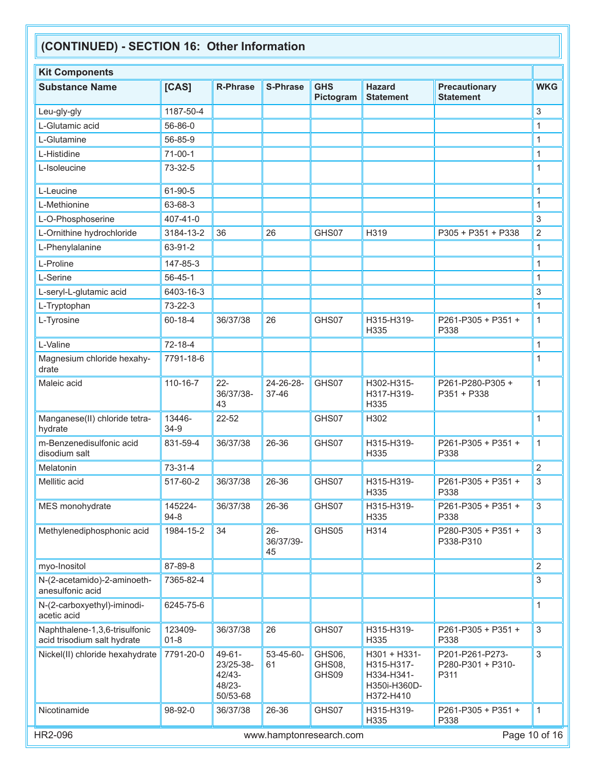| <b>Kit Components</b>                                        |                     |                                                            |                           |                           |                                                                       |                                              |                |
|--------------------------------------------------------------|---------------------|------------------------------------------------------------|---------------------------|---------------------------|-----------------------------------------------------------------------|----------------------------------------------|----------------|
| <b>Substance Name</b>                                        | [CAS]               | <b>R-Phrase</b>                                            | <b>S-Phrase</b>           | <b>GHS</b><br>Pictogram   | <b>Hazard</b><br><b>Statement</b>                                     | <b>Precautionary</b><br><b>Statement</b>     | <b>WKG</b>     |
| Leu-gly-gly                                                  | 1187-50-4           |                                                            |                           |                           |                                                                       |                                              | 3              |
| L-Glutamic acid                                              | 56-86-0             |                                                            |                           |                           |                                                                       |                                              | 1              |
| L-Glutamine                                                  | 56-85-9             |                                                            |                           |                           |                                                                       |                                              | 1              |
| L-Histidine                                                  | $71-00-1$           |                                                            |                           |                           |                                                                       |                                              | 1              |
| L-Isoleucine                                                 | 73-32-5             |                                                            |                           |                           |                                                                       |                                              | 1              |
| L-Leucine                                                    | 61-90-5             |                                                            |                           |                           |                                                                       |                                              | 1              |
| L-Methionine                                                 | 63-68-3             |                                                            |                           |                           |                                                                       |                                              | 1              |
| L-O-Phosphoserine                                            | 407-41-0            |                                                            |                           |                           |                                                                       |                                              | 3              |
| L-Ornithine hydrochloride                                    | 3184-13-2           | 36                                                         | 26                        | GHS07                     | H319                                                                  | P305 + P351 + P338                           | $\overline{2}$ |
| L-Phenylalanine                                              | 63-91-2             |                                                            |                           |                           |                                                                       |                                              | $\mathbf{1}$   |
| L-Proline                                                    | 147-85-3            |                                                            |                           |                           |                                                                       |                                              | 1              |
| L-Serine                                                     | $56 - 45 - 1$       |                                                            |                           |                           |                                                                       |                                              | 1              |
| L-seryl-L-glutamic acid                                      | 6403-16-3           |                                                            |                           |                           |                                                                       |                                              | 3              |
| L-Tryptophan                                                 | 73-22-3             |                                                            |                           |                           |                                                                       |                                              | 1              |
| L-Tyrosine                                                   | 60-18-4             | 36/37/38                                                   | 26                        | GHS07                     | H315-H319-<br>H335                                                    | P261-P305 + P351 +<br>P338                   | 1              |
| L-Valine                                                     | 72-18-4             |                                                            |                           |                           |                                                                       |                                              | 1              |
| Magnesium chloride hexahy-<br>drate                          | 7791-18-6           |                                                            |                           |                           |                                                                       |                                              | 1              |
| Maleic acid                                                  | 110-16-7            | $22 -$<br>36/37/38-<br>43                                  | 24-26-28-<br>37-46        | GHS07                     | H302-H315-<br>H317-H319-<br>H335                                      | P261-P280-P305+<br>P351 + P338               | 1              |
| Manganese(II) chloride tetra-<br>hydrate                     | 13446-<br>$34-9$    | 22-52                                                      |                           | GHS07                     | H302                                                                  |                                              | 1              |
| m-Benzenedisulfonic acid<br>disodium salt                    | 831-59-4            | 36/37/38                                                   | 26-36                     | GHS07                     | H315-H319-<br>H335                                                    | P261-P305 + P351 +<br>P338                   | 1              |
| Melatonin                                                    | $73-31-4$           |                                                            |                           |                           |                                                                       |                                              | 2              |
| Mellitic acid                                                | 517-60-2            | 36/37/38                                                   | 26-36                     | GHS07                     | H315-H319-<br>H335                                                    | P261-P305 + P351 +<br>P338                   | 3              |
| MES monohydrate                                              | 145224-<br>$94 - 8$ | 36/37/38                                                   | 26-36                     | GHS07                     | H315-H319-<br>H335                                                    | P261-P305 + P351 +<br>P338                   | 3              |
| Methylenediphosphonic acid                                   | 1984-15-2           | 34                                                         | $26 -$<br>36/37/39-<br>45 | GHS05                     | H314                                                                  | P280-P305 + P351 +<br>P338-P310              | $\mathbf{3}$   |
| myo-Inositol                                                 | 87-89-8             |                                                            |                           |                           |                                                                       |                                              | $\overline{2}$ |
| N-(2-acetamido)-2-aminoeth-<br>anesulfonic acid              | 7365-82-4           |                                                            |                           |                           |                                                                       |                                              | 3              |
| N-(2-carboxyethyl)-iminodi-<br>acetic acid                   | 6245-75-6           |                                                            |                           |                           |                                                                       |                                              | 1              |
| Naphthalene-1,3,6-trisulfonic<br>acid trisodium salt hydrate | 123409-<br>$01 - 8$ | 36/37/38                                                   | 26                        | GHS07                     | H315-H319-<br>H335                                                    | P261-P305 + P351 +<br>P338                   | 3              |
| Nickel(II) chloride hexahydrate                              | 7791-20-0           | $49 - 61 -$<br>23/25-38-<br>$42/43-$<br>48/23-<br>50/53-68 | 53-45-60-<br>61           | GHS06,<br>GHS08,<br>GHS09 | H301 + H331-<br>H315-H317-<br>H334-H341-<br>H350i-H360D-<br>H372-H410 | P201-P261-P273-<br>P280-P301 + P310-<br>P311 | 3              |
| Nicotinamide                                                 | 98-92-0             | 36/37/38                                                   | 26-36                     | GHS07                     | H315-H319-<br>H335                                                    | P261-P305 + P351 +<br>P338                   | 1              |
| HR2-096                                                      |                     |                                                            |                           | www.hamptonresearch.com   |                                                                       |                                              | Page 10 of 16  |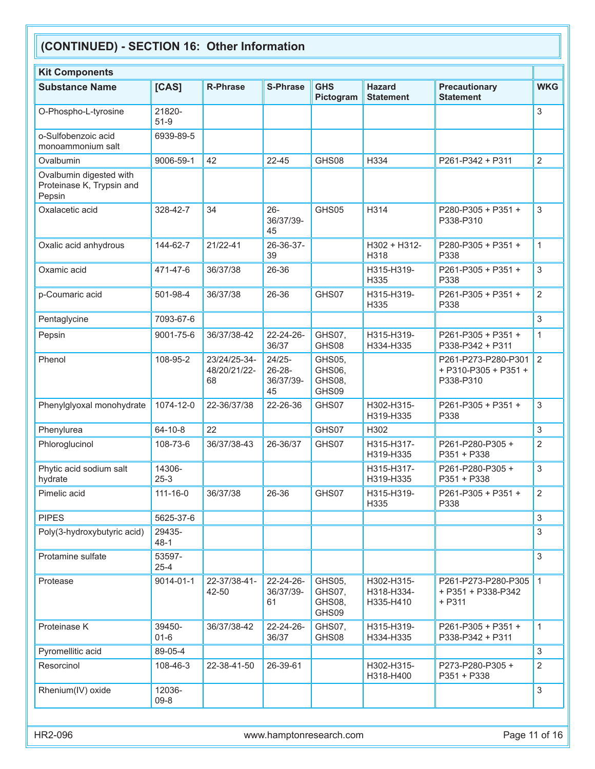| <b>Kit Components</b>                                          |                    |                                    |                                          |                                     |                                       |                                                          |                |
|----------------------------------------------------------------|--------------------|------------------------------------|------------------------------------------|-------------------------------------|---------------------------------------|----------------------------------------------------------|----------------|
| <b>Substance Name</b>                                          | [CAS]              | <b>R-Phrase</b>                    | <b>S-Phrase</b>                          | <b>GHS</b><br>Pictogram             | <b>Hazard</b><br><b>Statement</b>     | <b>Precautionary</b><br><b>Statement</b>                 | <b>WKG</b>     |
| O-Phospho-L-tyrosine                                           | 21820-<br>$51-9$   |                                    |                                          |                                     |                                       |                                                          | 3              |
| o-Sulfobenzoic acid<br>monoammonium salt                       | 6939-89-5          |                                    |                                          |                                     |                                       |                                                          |                |
| Ovalbumin                                                      | 9006-59-1          | 42                                 | 22-45                                    | GHS08                               | H334                                  | P261-P342 + P311                                         | 2              |
| Ovalbumin digested with<br>Proteinase K, Trypsin and<br>Pepsin |                    |                                    |                                          |                                     |                                       |                                                          |                |
| Oxalacetic acid                                                | 328-42-7           | 34                                 | $26 -$<br>36/37/39-<br>45                | GHS05                               | H314                                  | P280-P305 + P351 +<br>P338-P310                          | 3              |
| Oxalic acid anhydrous                                          | 144-62-7           | 21/22-41                           | 26-36-37-<br>39                          |                                     | $H302 + H312$ -<br>H318               | P280-P305 + P351 +<br>P338                               | $\mathbf{1}$   |
| Oxamic acid                                                    | 471-47-6           | 36/37/38                           | 26-36                                    |                                     | H315-H319-<br>H335                    | P261-P305 + P351 +<br>P338                               | 3              |
| p-Coumaric acid                                                | 501-98-4           | 36/37/38                           | 26-36                                    | GHS07                               | H315-H319-<br>H335                    | P261-P305 + P351 +<br>P338                               | $\overline{2}$ |
| Pentaglycine                                                   | 7093-67-6          |                                    |                                          |                                     |                                       |                                                          | 3              |
| Pepsin                                                         | 9001-75-6          | 36/37/38-42                        | $22 - 24 - 26$<br>36/37                  | GHS07,<br>GHS08                     | H315-H319-<br>H334-H335               | P261-P305 + P351 +<br>P338-P342 + P311                   | $\mathbf{1}$   |
| Phenol                                                         | 108-95-2           | 23/24/25-34-<br>48/20/21/22-<br>68 | 24/25-<br>$26 - 28 -$<br>36/37/39-<br>45 | GHS05,<br>GHS06,<br>GHS08,<br>GHS09 |                                       | P261-P273-P280-P301<br>+ P310-P305 + P351 +<br>P338-P310 | 2              |
| Phenylglyoxal monohydrate                                      | 1074-12-0          | 22-36/37/38                        | 22-26-36                                 | GHS07                               | H302-H315-<br>H319-H335               | P261-P305 + P351 +<br>P338                               | 3              |
| Phenylurea                                                     | $64 - 10 - 8$      | 22                                 |                                          | GHS07                               | H302                                  |                                                          | 3              |
| Phloroglucinol                                                 | 108-73-6           | 36/37/38-43                        | 26-36/37                                 | GHS07                               | H315-H317-<br>H319-H335               | P261-P280-P305+<br>P351 + P338                           | $\overline{2}$ |
| Phytic acid sodium salt<br>hydrate                             | 14306-<br>$25 - 3$ |                                    |                                          |                                     | H315-H317-<br>H319-H335               | P261-P280-P305+<br>P351 + P338                           | 3              |
| Pimelic acid                                                   | $111 - 16 - 0$     | 36/37/38                           | 26-36                                    | GHS07                               | H315-H319-<br>H335                    | P261-P305 + P351 +<br>P338                               | $\overline{2}$ |
| <b>PIPES</b>                                                   | 5625-37-6          |                                    |                                          |                                     |                                       |                                                          | 3              |
| Poly(3-hydroxybutyric acid)                                    | 29435-<br>$48-1$   |                                    |                                          |                                     |                                       |                                                          | 3              |
| Protamine sulfate                                              | 53597-<br>$25 - 4$ |                                    |                                          |                                     |                                       |                                                          | 3              |
| Protease                                                       | 9014-01-1          | 22-37/38-41-<br>42-50              | 22-24-26-<br>36/37/39-<br>61             | GHS05,<br>GHS07.<br>GHS08,<br>GHS09 | H302-H315-<br>H318-H334-<br>H335-H410 | P261-P273-P280-P305<br>+ P351 + P338-P342<br>$+ P311$    | $\mathbf{1}$   |
| Proteinase K                                                   | 39450-<br>$01 - 6$ | 36/37/38-42                        | $22 - 24 - 26$<br>36/37                  | GHS07,<br>GHS08                     | H315-H319-<br>H334-H335               | P261-P305 + P351 +<br>P338-P342 + P311                   | 1              |
| Pyromellitic acid                                              | 89-05-4            |                                    |                                          |                                     |                                       |                                                          | 3              |
| Resorcinol                                                     | 108-46-3           | 22-38-41-50                        | 26-39-61                                 |                                     | H302-H315-<br>H318-H400               | P273-P280-P305+<br>P351 + P338                           | 2              |
| Rhenium(IV) oxide                                              | 12036-<br>$09 - 8$ |                                    |                                          |                                     |                                       |                                                          | 3              |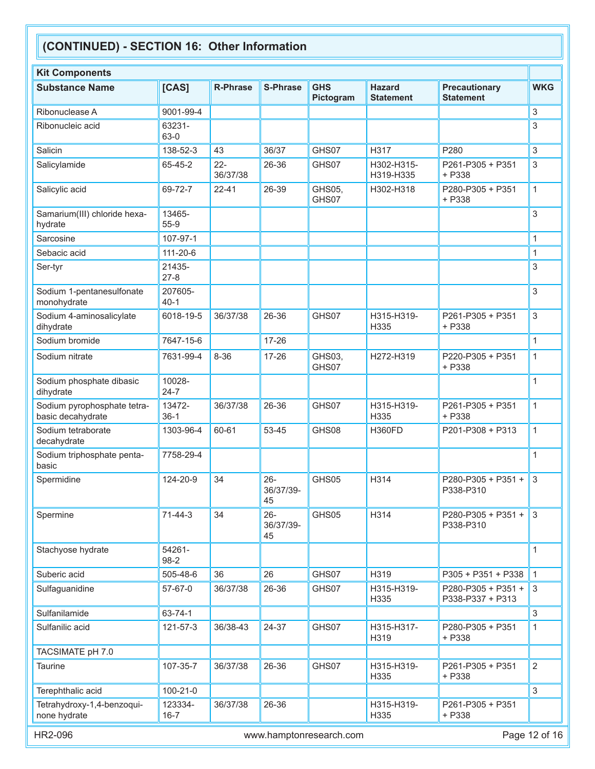| <b>Kit Components</b>                            |                     |                    |                           |                         |                                   |                                          |                |
|--------------------------------------------------|---------------------|--------------------|---------------------------|-------------------------|-----------------------------------|------------------------------------------|----------------|
| <b>Substance Name</b>                            | [CAS]               | <b>R-Phrase</b>    | <b>S-Phrase</b>           | <b>GHS</b><br>Pictogram | <b>Hazard</b><br><b>Statement</b> | <b>Precautionary</b><br><b>Statement</b> | <b>WKG</b>     |
| Ribonuclease A                                   | 9001-99-4           |                    |                           |                         |                                   |                                          | 3              |
| Ribonucleic acid                                 | 63231-<br>63-0      |                    |                           |                         |                                   |                                          | $\sqrt{3}$     |
| Salicin                                          | 138-52-3            | 43                 | 36/37                     | GHS07                   | H317                              | P280                                     | 3              |
| Salicylamide                                     | 65-45-2             | $22 -$<br>36/37/38 | 26-36                     | GHS07                   | H302-H315-<br>H319-H335           | P261-P305 + P351<br>+ P338               | 3              |
| Salicylic acid                                   | 69-72-7             | $22 - 41$          | 26-39                     | GHS05,<br>GHS07         | H302-H318                         | P280-P305 + P351<br>$+ P338$             | $\mathbf{1}$   |
| Samarium(III) chloride hexa-<br>hydrate          | 13465-<br>55-9      |                    |                           |                         |                                   |                                          | 3              |
| Sarcosine                                        | 107-97-1            |                    |                           |                         |                                   |                                          | 1              |
| Sebacic acid                                     | 111-20-6            |                    |                           |                         |                                   |                                          | 1              |
| Ser-tyr                                          | 21435-<br>$27 - 8$  |                    |                           |                         |                                   |                                          | 3              |
| Sodium 1-pentanesulfonate<br>monohydrate         | 207605-<br>$40 - 1$ |                    |                           |                         |                                   |                                          | 3              |
| Sodium 4-aminosalicylate<br>dihydrate            | 6018-19-5           | 36/37/38           | 26-36                     | GHS07                   | H315-H319-<br>H335                | P261-P305 + P351<br>$+ P338$             | 3              |
| Sodium bromide                                   | 7647-15-6           |                    | 17-26                     |                         |                                   |                                          | $\mathbf{1}$   |
| Sodium nitrate                                   | 7631-99-4           | $8 - 36$           | 17-26                     | GHS03,<br>GHS07         | H272-H319                         | P220-P305 + P351<br>+ P338               | 1              |
| Sodium phosphate dibasic<br>dihydrate            | 10028-<br>$24 - 7$  |                    |                           |                         |                                   |                                          | 1              |
| Sodium pyrophosphate tetra-<br>basic decahydrate | 13472-<br>$36-1$    | 36/37/38           | 26-36                     | GHS07                   | H315-H319-<br>H335                | P261-P305 + P351<br>$+ P338$             | $\mathbf{1}$   |
| Sodium tetraborate<br>decahydrate                | 1303-96-4           | 60-61              | 53-45                     | GHS08                   | <b>H360FD</b>                     | P201-P308 + P313                         | $\mathbf{1}$   |
| Sodium triphosphate penta-<br>basic              | 7758-29-4           |                    |                           |                         |                                   |                                          | 1              |
| Spermidine                                       | 124-20-9            | 34                 | $26 -$<br>36/37/39-<br>45 | GHS05                   | H314                              | P280-P305 + P351 +<br>P338-P310          | 3              |
| Spermine                                         | 71-44-3             | 34                 | $26 -$<br>36/37/39-<br>45 | GHS05                   | H314                              | P280-P305 + P351 +<br>P338-P310          | 3              |
| Stachyose hydrate                                | 54261-<br>98-2      |                    |                           |                         |                                   |                                          | 1              |
| Suberic acid                                     | 505-48-6            | 36                 | 26                        | GHS07                   | H319                              | P305 + P351 + P338                       | $\mathbf{1}$   |
| Sulfaguanidine                                   | 57-67-0             | 36/37/38           | 26-36                     | GHS07                   | H315-H319-<br>H335                | P280-P305 + P351 +<br>P338-P337 + P313   | 3              |
| Sulfanilamide                                    | 63-74-1             |                    |                           |                         |                                   |                                          | 3              |
| Sulfanilic acid                                  | 121-57-3            | 36/38-43           | 24-37                     | GHS07                   | H315-H317-<br>H319                | P280-P305 + P351<br>+ P338               | 1              |
| TACSIMATE pH 7.0                                 |                     |                    |                           |                         |                                   |                                          |                |
| <b>Taurine</b>                                   | 107-35-7            | 36/37/38           | 26-36                     | GHS07                   | H315-H319-<br>H335                | P261-P305 + P351<br>+ P338               | $\overline{2}$ |
| Terephthalic acid                                | 100-21-0            |                    |                           |                         |                                   |                                          | 3              |
| Tetrahydroxy-1,4-benzoqui-<br>none hydrate       | 123334-<br>$16 - 7$ | 36/37/38           | 26-36                     |                         | H315-H319-<br>H335                | P261-P305 + P351<br>+ P338               |                |
| HR2-096                                          |                     |                    |                           | www.hamptonresearch.com |                                   |                                          | Page 12 of 16  |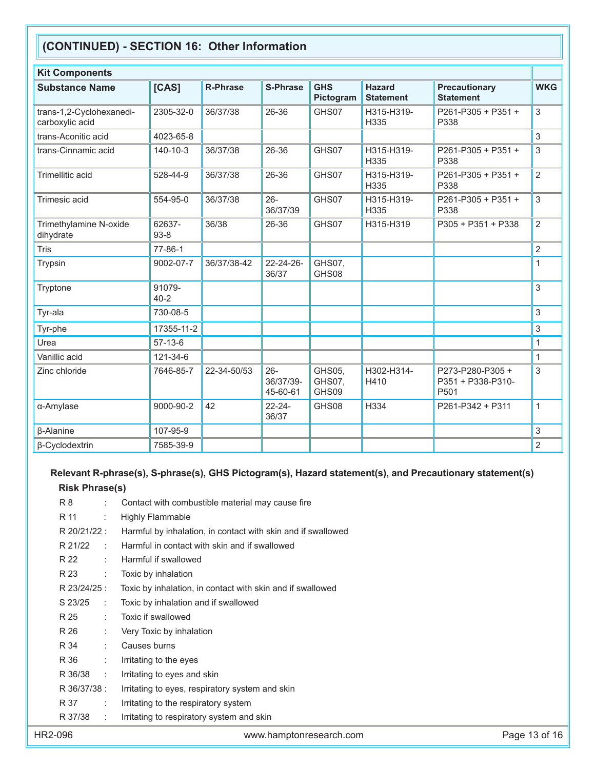| <b>Kit Components</b>                       |                    |                 |                                 |                           |                                   |                                              |                |
|---------------------------------------------|--------------------|-----------------|---------------------------------|---------------------------|-----------------------------------|----------------------------------------------|----------------|
| <b>Substance Name</b>                       | [CAS]              | <b>R-Phrase</b> | <b>S-Phrase</b>                 | <b>GHS</b><br>Pictogram   | <b>Hazard</b><br><b>Statement</b> | <b>Precautionary</b><br><b>Statement</b>     | <b>WKG</b>     |
| trans-1,2-Cyclohexanedi-<br>carboxylic acid | 2305-32-0          | 36/37/38        | 26-36                           | GHS07                     | H315-H319-<br>H335                | P261-P305 + P351 +<br>P338                   | 3              |
| trans-Aconitic acid                         | 4023-65-8          |                 |                                 |                           |                                   |                                              | 3              |
| trans-Cinnamic acid                         | 140-10-3           | 36/37/38        | 26-36                           | GHS07                     | H315-H319-<br>H335                | P261-P305 + P351 +<br>P338                   | 3              |
| Trimellitic acid                            | 528-44-9           | 36/37/38        | 26-36                           | GHS07                     | H315-H319-<br>H335                | P261-P305 + P351 +<br>P338                   | $\overline{2}$ |
| Trimesic acid                               | 554-95-0           | 36/37/38        | $26 -$<br>36/37/39              | GHS07                     | H315-H319-<br>H335                | P261-P305 + P351 +<br>P338                   | 3              |
| Trimethylamine N-oxide<br>dihydrate         | 62637-<br>93-8     | 36/38           | 26-36                           | GHS07                     | H315-H319                         | P305 + P351 + P338                           | $\overline{2}$ |
| Tris                                        | 77-86-1            |                 |                                 |                           |                                   |                                              | $\overline{2}$ |
| <b>Trypsin</b>                              | 9002-07-7          | 36/37/38-42     | 22-24-26-<br>36/37              | GHS07,<br>GHS08           |                                   |                                              | 1              |
| Tryptone                                    | 91079-<br>$40 - 2$ |                 |                                 |                           |                                   |                                              | 3              |
| Tyr-ala                                     | 730-08-5           |                 |                                 |                           |                                   |                                              | 3              |
| Tyr-phe                                     | 17355-11-2         |                 |                                 |                           |                                   |                                              | 3              |
| Urea                                        | $57-13-6$          |                 |                                 |                           |                                   |                                              | 1              |
| Vanillic acid                               | 121-34-6           |                 |                                 |                           |                                   |                                              | $\mathbf{1}$   |
| Zinc chloride                               | 7646-85-7          | 22-34-50/53     | $26 -$<br>36/37/39-<br>45-60-61 | GHS05,<br>GHS07,<br>GHS09 | H302-H314-<br>H410                | P273-P280-P305+<br>P351 + P338-P310-<br>P501 | 3              |
| α-Amylase                                   | 9000-90-2          | 42              | $22 - 24 -$<br>36/37            | GHS08                     | H334                              | P261-P342 + P311                             | $\mathbf{1}$   |
| $\beta$ -Alanine                            | 107-95-9           |                 |                                 |                           |                                   |                                              | 3              |
| β-Cyclodextrin                              | 7585-39-9          |                 |                                 |                           |                                   |                                              | $\overline{c}$ |

# **Relevant R-phrase(s), S-phrase(s), GHS Pictogram(s), Hazard statement(s), and Precautionary statement(s)**

# **Risk Phrase(s)**

| HR2-096 |              |                      | www.hamptonresearch.com                                      | Page 13 of 16 |
|---------|--------------|----------------------|--------------------------------------------------------------|---------------|
|         | R 37/38      |                      | Irritating to respiratory system and skin                    |               |
|         | R 37         |                      | Irritating to the respiratory system                         |               |
|         | R 36/37/38 : |                      | Irritating to eyes, respiratory system and skin              |               |
|         | R 36/38      | ÷                    | Irritating to eyes and skin                                  |               |
|         | R 36         | ÷                    | Irritating to the eyes                                       |               |
|         | R 34         |                      | Causes burns                                                 |               |
|         | R 26         |                      | Very Toxic by inhalation                                     |               |
|         | R 25         |                      | Toxic if swallowed                                           |               |
|         | S 23/25      | $\ddot{\phantom{a}}$ | Toxic by inhalation and if swallowed                         |               |
|         | R 23/24/25 : |                      | Toxic by inhalation, in contact with skin and if swallowed   |               |
|         | R 23         | ÷                    | Toxic by inhalation                                          |               |
|         | R 22         |                      | Harmful if swallowed                                         |               |
|         | R 21/22      | ÷                    | Harmful in contact with skin and if swallowed                |               |
|         | R 20/21/22 : |                      | Harmful by inhalation, in contact with skin and if swallowed |               |
|         | R 11         | ÷                    | <b>Highly Flammable</b>                                      |               |
|         | R 8          |                      | Contact with combustible material may cause fire             |               |
|         |              |                      |                                                              |               |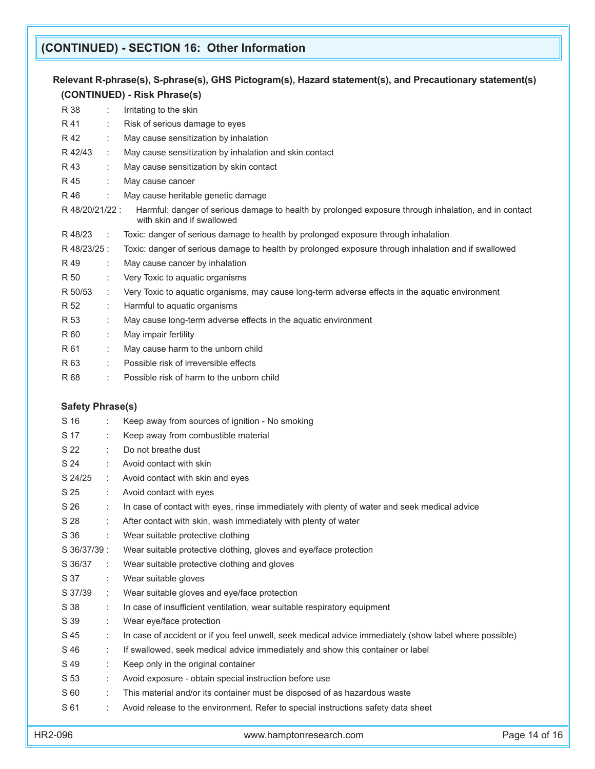# **Relevant R-phrase(s), S-phrase(s), GHS Pictogram(s), Hazard statement(s), and Precautionary statement(s) (CONTINUED) - Risk Phrase(s)**

| R 38            |           | Irritating to the skin                                                                                                             |
|-----------------|-----------|------------------------------------------------------------------------------------------------------------------------------------|
| R 41            |           | Risk of serious damage to eyes                                                                                                     |
| R 42            |           | May cause sensitization by inhalation                                                                                              |
| R 42/43         |           | May cause sensitization by inhalation and skin contact                                                                             |
| R 43            |           | May cause sensitization by skin contact                                                                                            |
| R 45            |           | May cause cancer                                                                                                                   |
| R 46            |           | May cause heritable genetic damage                                                                                                 |
| R 48/20/21/22 : |           | Harmful: danger of serious damage to health by prolonged exposure through inhalation, and in contact<br>with skin and if swallowed |
| R 48/23         | $\sim$ 1. | Toxic: danger of serious damage to health by prolonged exposure through inhalation                                                 |
| R 48/23/25 :    |           | Toxic: danger of serious damage to health by prolonged exposure through inhalation and if swallowed                                |
| R 49            | ÷         | May cause cancer by inhalation                                                                                                     |
| R 50            |           | Very Toxic to aquatic organisms                                                                                                    |
| R 50/53         |           | Very Toxic to aquatic organisms, may cause long-term adverse effects in the aquatic environment                                    |
| R 52            |           | Harmful to aquatic organisms                                                                                                       |
| R 53            |           | May cause long-term adverse effects in the aquatic environment                                                                     |
| R 60            |           | May impair fertility                                                                                                               |
| R 61            |           | May cause harm to the unborn child                                                                                                 |
| R 63            |           | Possible risk of irreversible effects                                                                                              |
| R 68            |           | Possible risk of harm to the unborn child                                                                                          |

## **Safety Phrase(s)**

| S 16         |                | Keep away from sources of ignition - No smoking                                                        |
|--------------|----------------|--------------------------------------------------------------------------------------------------------|
| S 17         | ÷.             | Keep away from combustible material                                                                    |
| S 22         | t.             | Do not breathe dust                                                                                    |
| S 24         | ÷.             | Avoid contact with skin                                                                                |
| S 24/25      | ÷              | Avoid contact with skin and eyes                                                                       |
| S 25         | t.             | Avoid contact with eyes                                                                                |
| S 26         | ÷              | In case of contact with eyes, rinse immediately with plenty of water and seek medical advice           |
| S 28         | ÷              | After contact with skin, wash immediately with plenty of water                                         |
| S 36         | ÷.             | Wear suitable protective clothing                                                                      |
| S 36/37/39 : |                | Wear suitable protective clothing, gloves and eye/face protection                                      |
| S 36/37      | $\mathbb{R}^n$ | Wear suitable protective clothing and gloves                                                           |
| S 37         | ÷              | Wear suitable gloves                                                                                   |
| S 37/39      | ÷              | Wear suitable gloves and eye/face protection                                                           |
| S 38         | ÷              | In case of insufficient ventilation, wear suitable respiratory equipment                               |
| S 39         | ÷.             | Wear eye/face protection                                                                               |
| S 45         | ÷              | In case of accident or if you feel unwell, seek medical advice immediately (show label where possible) |
| S 46         | t.             | If swallowed, seek medical advice immediately and show this container or label                         |
| S 49         | ÷.             | Keep only in the original container                                                                    |
| S 53         |                | Avoid exposure - obtain special instruction before use                                                 |
| S 60         |                | This material and/or its container must be disposed of as hazardous waste                              |
| S 61         |                | Avoid release to the environment. Refer to special instructions safety data sheet                      |
|              |                |                                                                                                        |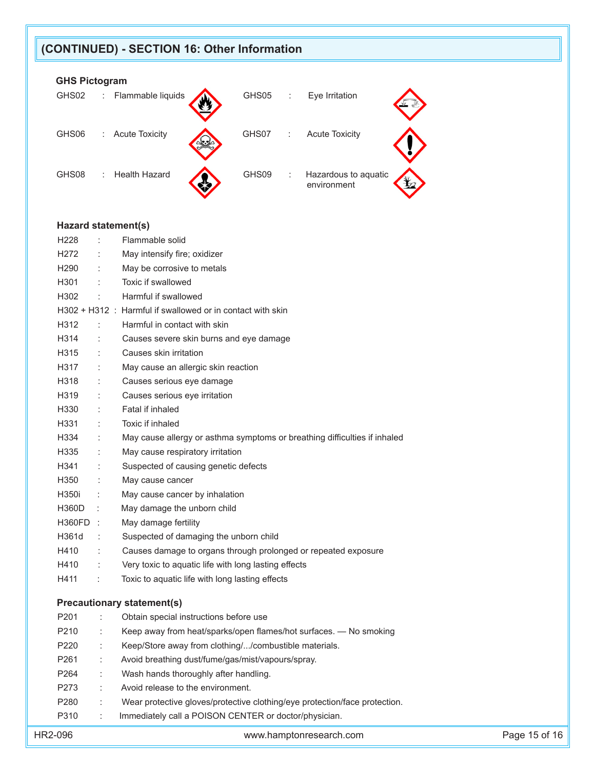## **GHS Pictogram**

| GHS02 | Flammable liquids<br>GHS05<br>Eye Irritation<br>t.<br>÷                         |  |
|-------|---------------------------------------------------------------------------------|--|
| GHS06 | GHS07<br><b>Acute Toxicity</b><br><b>Acute Toxicity</b><br>÷<br>÷.              |  |
| GHS08 | <b>Health Hazard</b><br>GHS09<br>Hazardous to aquatic<br>÷<br>÷.<br>environment |  |

#### **Hazard statement(s)**

|                                   | H <sub>228</sub> | $\ddot{\phantom{a}}$ | Flammable solid                                                           |  |  |  |
|-----------------------------------|------------------|----------------------|---------------------------------------------------------------------------|--|--|--|
|                                   | H <sub>272</sub> |                      | May intensify fire; oxidizer                                              |  |  |  |
|                                   | H <sub>290</sub> |                      | May be corrosive to metals                                                |  |  |  |
|                                   | H301             |                      | Toxic if swallowed                                                        |  |  |  |
|                                   | H302             |                      | Harmful if swallowed                                                      |  |  |  |
|                                   |                  |                      | H302 + H312 : Harmful if swallowed or in contact with skin                |  |  |  |
|                                   | H312             | ÷                    | Harmful in contact with skin                                              |  |  |  |
|                                   | H314             | ÷                    | Causes severe skin burns and eye damage                                   |  |  |  |
|                                   | H315             |                      | Causes skin irritation                                                    |  |  |  |
|                                   | H317             |                      | May cause an allergic skin reaction                                       |  |  |  |
|                                   | H318             |                      | Causes serious eye damage                                                 |  |  |  |
|                                   | H319             |                      | Causes serious eye irritation                                             |  |  |  |
|                                   | H330             |                      | Fatal if inhaled                                                          |  |  |  |
|                                   | H331             |                      | Toxic if inhaled                                                          |  |  |  |
|                                   | H334             |                      | May cause allergy or asthma symptoms or breathing difficulties if inhaled |  |  |  |
|                                   | H335             | $\ddot{\phantom{a}}$ | May cause respiratory irritation                                          |  |  |  |
|                                   | H341             | $\ddot{\phantom{a}}$ | Suspected of causing genetic defects                                      |  |  |  |
|                                   | H350             | $\ddot{\phantom{a}}$ | May cause cancer                                                          |  |  |  |
|                                   | H350i            |                      | May cause cancer by inhalation                                            |  |  |  |
|                                   | <b>H360D</b>     | ÷                    | May damage the unborn child                                               |  |  |  |
|                                   | H360FD :         |                      | May damage fertility                                                      |  |  |  |
|                                   | H361d            | ÷                    | Suspected of damaging the unborn child                                    |  |  |  |
|                                   | H410             | $\ddot{\phantom{a}}$ | Causes damage to organs through prolonged or repeated exposure            |  |  |  |
|                                   | H410             | $\ddot{\phantom{a}}$ | Very toxic to aquatic life with long lasting effects                      |  |  |  |
|                                   | H411             | $\ddot{\phantom{a}}$ | Toxic to aquatic life with long lasting effects                           |  |  |  |
| <b>Precautionary statement(s)</b> |                  |                      |                                                                           |  |  |  |
|                                   |                  |                      |                                                                           |  |  |  |
|                                   | P201             |                      | Obtain special instructions before use                                    |  |  |  |
|                                   | P210             |                      | Keep away from heat/sparks/open flames/hot surfaces. - No smoking         |  |  |  |
|                                   | P220             |                      | Keep/Store away from clothing//combustible materials.                     |  |  |  |

- P261 : Avoid breathing dust/fume/gas/mist/vapours/spray.
- P264 : Wash hands thoroughly after handling.
- P273 : Avoid release to the environment.
- P280 : Wear protective gloves/protective clothing/eye protection/face protection.
- P310 : Immediately call a POISON CENTER or doctor/physician.